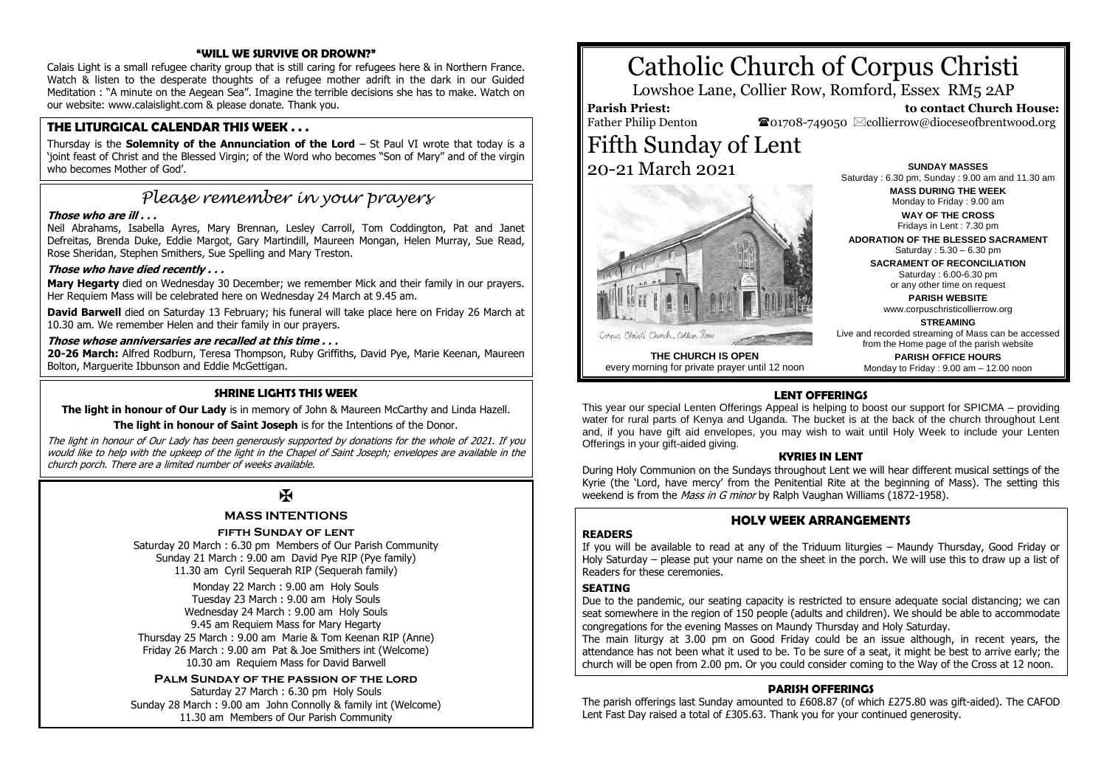#### **"WILL WE SURVIVE OR DROWN?"**

Calais Light is a small refugee charity group that is still caring for refugees here & in Northern France. Watch & listen to the desperate thoughts of a refugee mother adrift in the dark in our Guided Meditation : "A minute on the Aegean Sea". Imagine the terrible decisions she has to make. Watch on our website: www.calaislight.com & please donate. Thank you.

#### **THE LITURGICAL CALENDAR THIS WEEK . . .**

Thursday is the **Solemnity of the Annunciation of the Lord** – St Paul VI wrote that today is a 'joint feast of Christ and the Blessed Virgin; of the Word who becomes "Son of Mary" and of the virgin who becomes Mother of God'.

## *Please remember in your prayers*

#### **Those who are ill . . .**

Neil Abrahams, Isabella Ayres, Mary Brennan, Lesley Carroll, Tom Coddington, Pat and Janet Defreitas, Brenda Duke, Eddie Margot, Gary Martindill, Maureen Mongan, Helen Murray. Sue Read. Rose Sheridan, Stephen Smithers, Sue Spelling and Mary Treston.

#### **Those who have died recently . . .**

**Mary Hegarty** died on Wednesday 30 December; we remember Mick and their family in our prayers. Her Requiem Mass will be celebrated here on Wednesday 24 March at 9.45 am.

**David Barwell** died on Saturday 13 February; his funeral will take place here on Friday 26 March at 10.30 am. We remember Helen and their family in our prayers.

#### **Those whose anniversaries are recalled at this time . . .**

**20-26 March:** Alfred Rodburn, Teresa Thompson, Ruby Griffiths, David Pye, Marie Keenan, Maureen Bolton, Marguerite Ibbunson and Eddie McGettigan.

#### **SHRINE LIGHTS THIS WEEK**

**The light in honour of Our Lady** is in memory of John & Maureen McCarthy and Linda Hazell.

#### **The light in honour of Saint Joseph** is for the Intentions of the Donor.

The light in honour of Our Lady has been generously supported by donations for the whole of 2021. If you would like to help with the upkeep of the light in the Chapel of Saint Joseph; envelopes are available in the church porch. There are a limited number of weeks available.

## $\mathbf F$

#### **MASS INTENTIONS**

#### **fifth Sunday of lent**

Saturday 20 March : 6.30 pm Members of Our Parish Community Sunday 21 March : 9.00 am David Pye RIP (Pye family) 11.30 am Cyril Sequerah RIP (Sequerah family)

Monday 22 March : 9.00 am Holy Souls Tuesday 23 March : 9.00 am Holy Souls Wednesday 24 March : 9.00 am Holy Souls 9.45 am Requiem Mass for Mary Hegarty Thursday 25 March : 9.00 am Marie & Tom Keenan RIP (Anne) Friday 26 March : 9.00 am Pat & Joe Smithers int (Welcome) 10.30 am Requiem Mass for David Barwell

#### **Palm Sunday of the passion of the lord**

Saturday 27 March : 6.30 pm Holy Souls Sunday 28 March : 9.00 am John Connolly & family int (Welcome) 11.30 am Members of Our Parish Community

# Catholic Church of Corpus Christi

Lowshoe Lane, Collier Row, Romford, Essex RM5 2AP

#### **Parish Priest:** Father Philip Denton

 **to contact Church House:**  $\bullet$ 01708-749050  $\boxtimes$ collierrow@dioceseofbrentwood.org

## Fifth Sunday of Lent 20-21 March 2021



**THE CHURCH IS OPEN** every morning for private prayer until 12 noon

**SUNDAY MASSES** Saturday : 6.30 pm, Sunday : 9.00 am and 11.30 am **MASS DURING THE WEEK** Monday to Friday : 9.00 am

**WAY OF THE CROSS** Fridays in Lent : 7.30 pm

**ADORATION OF THE BLESSED SACRAMENT** Saturday : 5.30 – 6.30 pm

> **SACRAMENT OF RECONCILIATION** Saturday : 6.00-6.30 pm or any other time on request

> > **PARISH WEBSITE** www.corpuschristicollierrow.org

> > > **STREAMING**

Live and recorded streaming of Mass can be accessed from the Home page of the parish website

**PARISH OFFICE HOURS** Monday to Friday : 9.00 am – 12.00 noon

#### **LENT OFFERINGS**

This year our special Lenten Offerings Appeal is helping to boost our support for SPICMA – providing water for rural parts of Kenya and Uganda. The bucket is at the back of the church throughout Lent and, if you have gift aid envelopes, you may wish to wait until Holy Week to include your Lenten Offerings in your gift-aided giving.

#### **KYRIES IN LENT**

During Holy Communion on the Sundays throughout Lent we will hear different musical settings of the Kyrie (the 'Lord, have mercy' from the Penitential Rite at the beginning of Mass). The setting this weekend is from the *Mass in G minor* by Ralph Vaughan Williams (1872-1958).

#### **HOLY WEEK ARRANGEMENTS**

#### **READERS**

If you will be available to read at any of the Triduum liturgies – Maundy Thursday, Good Friday or Holy Saturday – please put your name on the sheet in the porch. We will use this to draw up a list of Readers for these ceremonies.

#### **SEATING**

Due to the pandemic, our seating capacity is restricted to ensure adequate social distancing; we can seat somewhere in the region of 150 people (adults and children). We should be able to accommodate congregations for the evening Masses on Maundy Thursday and Holy Saturday.

The main liturgy at 3.00 pm on Good Friday could be an issue although, in recent years, the attendance has not been what it used to be. To be sure of a seat, it might be best to arrive early; the church will be open from 2.00 pm. Or you could consider coming to the Way of the Cross at 12 noon.

#### **PARISH OFFERINGS**

The parish offerings last Sunday amounted to £608.87 (of which £275.80 was gift-aided). The CAFOD Lent Fast Day raised a total of £305.63. Thank you for your continued generosity.